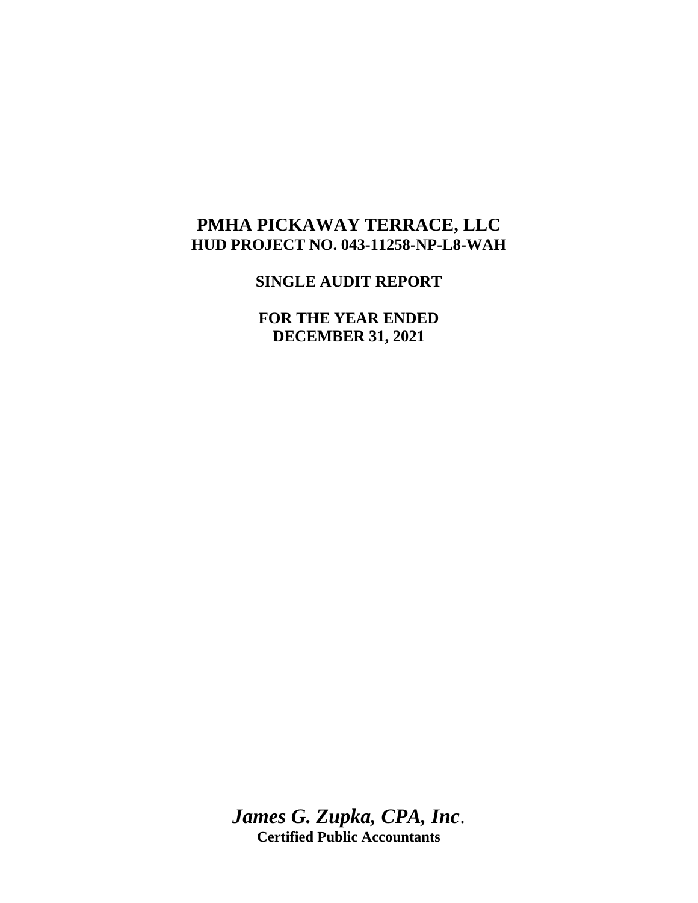# **PMHA PICKAWAY TERRACE, LLC HUD PROJECT NO. 043-11258-NP-L8-WAH**

# **SINGLE AUDIT REPORT**

**FOR THE YEAR ENDED DECEMBER 31, 2021**

*James G. Zupka, CPA, Inc*. **Certified Public Accountants**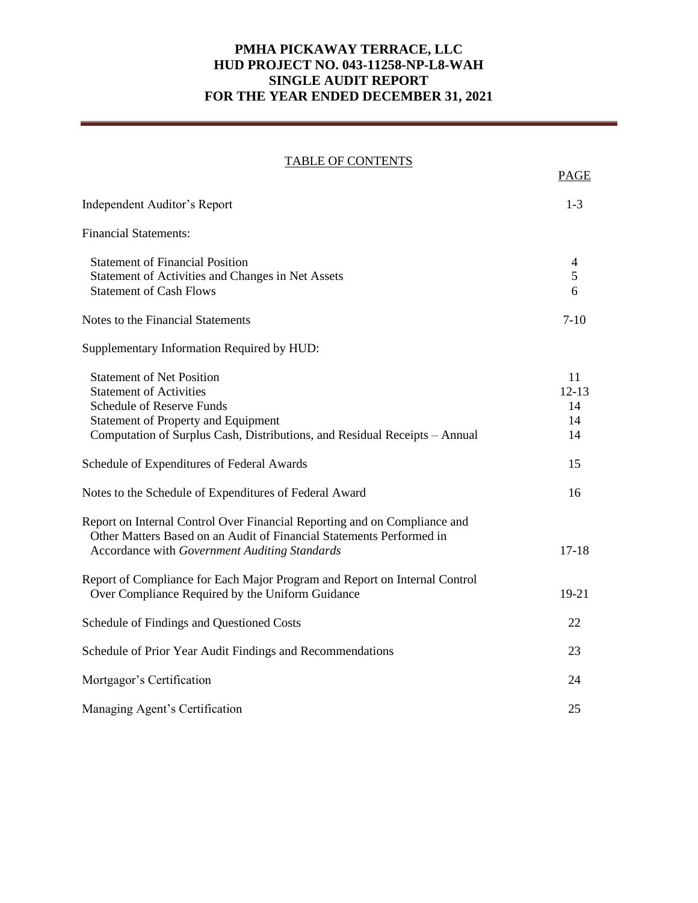### **PMHA PICKAWAY TERRACE, LLC HUD PROJECT NO. 043-11258-NP-L8-WAH SINGLE AUDIT REPORT FOR THE YEAR ENDED DECEMBER 31, 2021**

### TABLE OF CONTENTS

|                                                                                                                                                                                                                                    | <b>PAGE</b>                       |
|------------------------------------------------------------------------------------------------------------------------------------------------------------------------------------------------------------------------------------|-----------------------------------|
| Independent Auditor's Report                                                                                                                                                                                                       | $1-3$                             |
| <b>Financial Statements:</b>                                                                                                                                                                                                       |                                   |
| <b>Statement of Financial Position</b><br>Statement of Activities and Changes in Net Assets<br><b>Statement of Cash Flows</b>                                                                                                      | $\overline{4}$<br>5<br>6          |
| Notes to the Financial Statements                                                                                                                                                                                                  | $7-10$                            |
| Supplementary Information Required by HUD:                                                                                                                                                                                         |                                   |
| <b>Statement of Net Position</b><br><b>Statement of Activities</b><br><b>Schedule of Reserve Funds</b><br><b>Statement of Property and Equipment</b><br>Computation of Surplus Cash, Distributions, and Residual Receipts - Annual | 11<br>$12 - 13$<br>14<br>14<br>14 |
| Schedule of Expenditures of Federal Awards                                                                                                                                                                                         | 15                                |
| Notes to the Schedule of Expenditures of Federal Award                                                                                                                                                                             | 16                                |
| Report on Internal Control Over Financial Reporting and on Compliance and<br>Other Matters Based on an Audit of Financial Statements Performed in<br>Accordance with Government Auditing Standards                                 | $17-18$                           |
| Report of Compliance for Each Major Program and Report on Internal Control<br>Over Compliance Required by the Uniform Guidance                                                                                                     | 19-21                             |
| Schedule of Findings and Questioned Costs                                                                                                                                                                                          | 22                                |
| Schedule of Prior Year Audit Findings and Recommendations                                                                                                                                                                          | 23                                |
| Mortgagor's Certification                                                                                                                                                                                                          | 24                                |
| Managing Agent's Certification                                                                                                                                                                                                     | 25                                |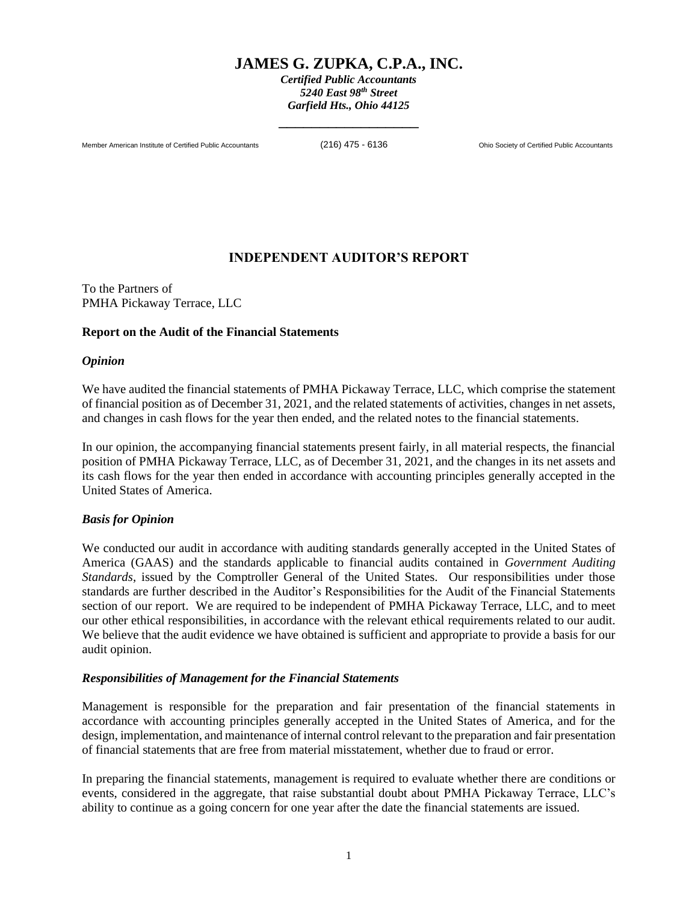# **JAMES G. ZUPKA, C.P.A., INC.**

*Certified Public Accountants 5240 East 98th Street Garfield Hts., Ohio 44125*

\_\_\_\_\_\_\_\_\_\_\_\_\_\_\_\_\_

Member American Institute of Certified Public Accountants (216) 475 - 6136 Ohio Society of Certified Public Accountants

### **INDEPENDENT AUDITOR'S REPORT**

To the Partners of PMHA Pickaway Terrace, LLC

#### **Report on the Audit of the Financial Statements**

#### *Opinion*

We have audited the financial statements of PMHA Pickaway Terrace, LLC, which comprise the statement of financial position as of December 31, 2021, and the related statements of activities, changes in net assets, and changes in cash flows for the year then ended, and the related notes to the financial statements.

In our opinion, the accompanying financial statements present fairly, in all material respects, the financial position of PMHA Pickaway Terrace, LLC, as of December 31, 2021, and the changes in its net assets and its cash flows for the year then ended in accordance with accounting principles generally accepted in the United States of America.

### *Basis for Opinion*

We conducted our audit in accordance with auditing standards generally accepted in the United States of America (GAAS) and the standards applicable to financial audits contained in *Government Auditing Standards*, issued by the Comptroller General of the United States. Our responsibilities under those standards are further described in the Auditor's Responsibilities for the Audit of the Financial Statements section of our report. We are required to be independent of PMHA Pickaway Terrace, LLC, and to meet our other ethical responsibilities, in accordance with the relevant ethical requirements related to our audit. We believe that the audit evidence we have obtained is sufficient and appropriate to provide a basis for our audit opinion.

#### *Responsibilities of Management for the Financial Statements*

Management is responsible for the preparation and fair presentation of the financial statements in accordance with accounting principles generally accepted in the United States of America, and for the design, implementation, and maintenance of internal control relevant to the preparation and fair presentation of financial statements that are free from material misstatement, whether due to fraud or error.

In preparing the financial statements, management is required to evaluate whether there are conditions or events, considered in the aggregate, that raise substantial doubt about PMHA Pickaway Terrace, LLC's ability to continue as a going concern for one year after the date the financial statements are issued.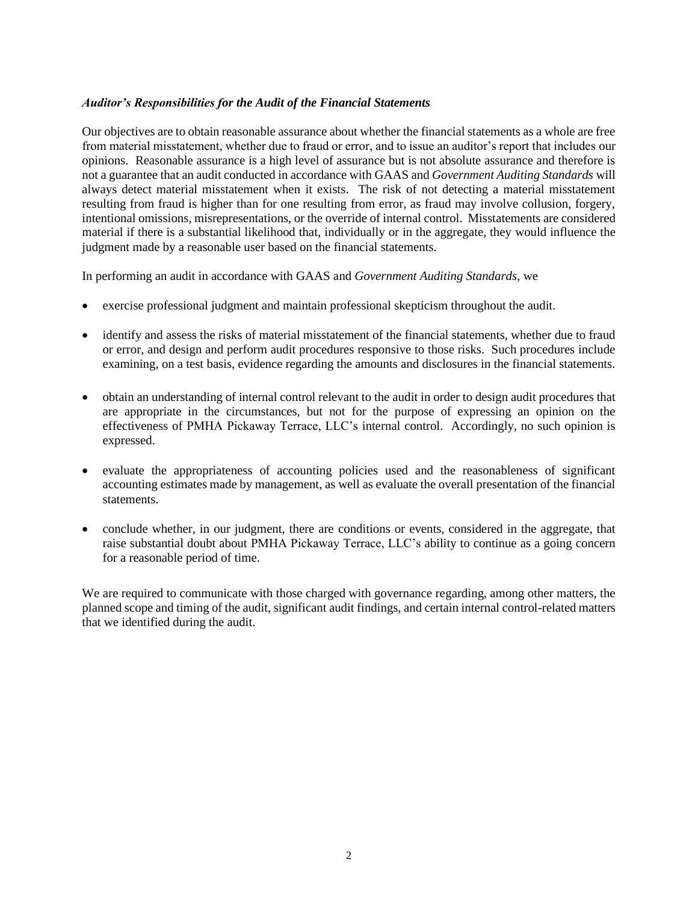### *Auditor's Responsibilities for the Audit of the Financial Statements*

Our objectives are to obtain reasonable assurance about whether the financial statements as a whole are free from material misstatement, whether due to fraud or error, and to issue an auditor's report that includes our opinions. Reasonable assurance is a high level of assurance but is not absolute assurance and therefore is not a guarantee that an audit conducted in accordance with GAAS and *Government Auditing Standards* will always detect material misstatement when it exists. The risk of not detecting a material misstatement resulting from fraud is higher than for one resulting from error, as fraud may involve collusion, forgery, intentional omissions, misrepresentations, or the override of internal control. Misstatements are considered material if there is a substantial likelihood that, individually or in the aggregate, they would influence the judgment made by a reasonable user based on the financial statements.

In performing an audit in accordance with GAAS and *Government Auditing Standards*, we

- exercise professional judgment and maintain professional skepticism throughout the audit.
- identify and assess the risks of material misstatement of the financial statements, whether due to fraud or error, and design and perform audit procedures responsive to those risks. Such procedures include examining, on a test basis, evidence regarding the amounts and disclosures in the financial statements.
- obtain an understanding of internal control relevant to the audit in order to design audit procedures that are appropriate in the circumstances, but not for the purpose of expressing an opinion on the effectiveness of PMHA Pickaway Terrace, LLC's internal control. Accordingly, no such opinion is expressed.
- evaluate the appropriateness of accounting policies used and the reasonableness of significant accounting estimates made by management, as well as evaluate the overall presentation of the financial statements.
- conclude whether, in our judgment, there are conditions or events, considered in the aggregate, that raise substantial doubt about PMHA Pickaway Terrace, LLC's ability to continue as a going concern for a reasonable period of time.

We are required to communicate with those charged with governance regarding, among other matters, the planned scope and timing of the audit, significant audit findings, and certain internal control-related matters that we identified during the audit.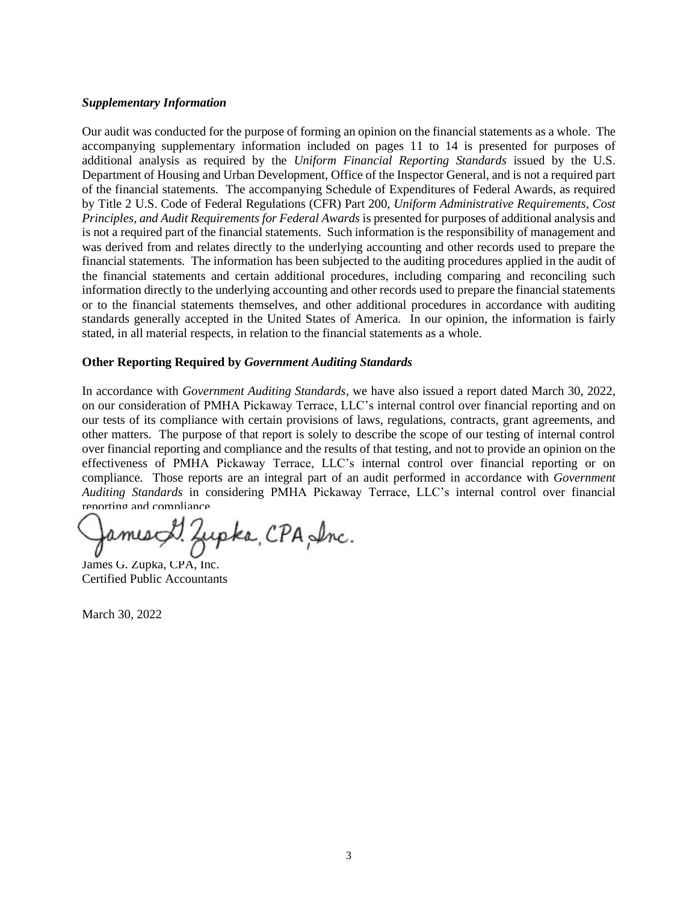#### *Supplementary Information*

Our audit was conducted for the purpose of forming an opinion on the financial statements as a whole. The accompanying supplementary information included on pages 11 to 14 is presented for purposes of additional analysis as required by the *Uniform Financial Reporting Standards* issued by the U.S. Department of Housing and Urban Development, Office of the Inspector General, and is not a required part of the financial statements. The accompanying Schedule of Expenditures of Federal Awards, as required by Title 2 U.S. Code of Federal Regulations (CFR) Part 200, *Uniform Administrative Requirements, Cost Principles, and Audit Requirements for Federal Awards* is presented for purposes of additional analysis and is not a required part of the financial statements. Such information is the responsibility of management and was derived from and relates directly to the underlying accounting and other records used to prepare the financial statements. The information has been subjected to the auditing procedures applied in the audit of the financial statements and certain additional procedures, including comparing and reconciling such information directly to the underlying accounting and other records used to prepare the financial statements or to the financial statements themselves, and other additional procedures in accordance with auditing standards generally accepted in the United States of America. In our opinion, the information is fairly stated, in all material respects, in relation to the financial statements as a whole.

#### **Other Reporting Required by** *Government Auditing Standards*

In accordance with *Government Auditing Standards*, we have also issued a report dated March 30, 2022, on our consideration of PMHA Pickaway Terrace, LLC's internal control over financial reporting and on our tests of its compliance with certain provisions of laws, regulations, contracts, grant agreements, and other matters. The purpose of that report is solely to describe the scope of our testing of internal control over financial reporting and compliance and the results of that testing, and not to provide an opinion on the effectiveness of PMHA Pickaway Terrace, LLC's internal control over financial reporting or on compliance. Those reports are an integral part of an audit performed in accordance with *Government Auditing Standards* in considering PMHA Pickaway Terrace, LLC's internal control over financial reporting and compliance.

Lupka, CPA, Inc.

James G. Zupka, CPA, Inc. Certified Public Accountants

March 30, 2022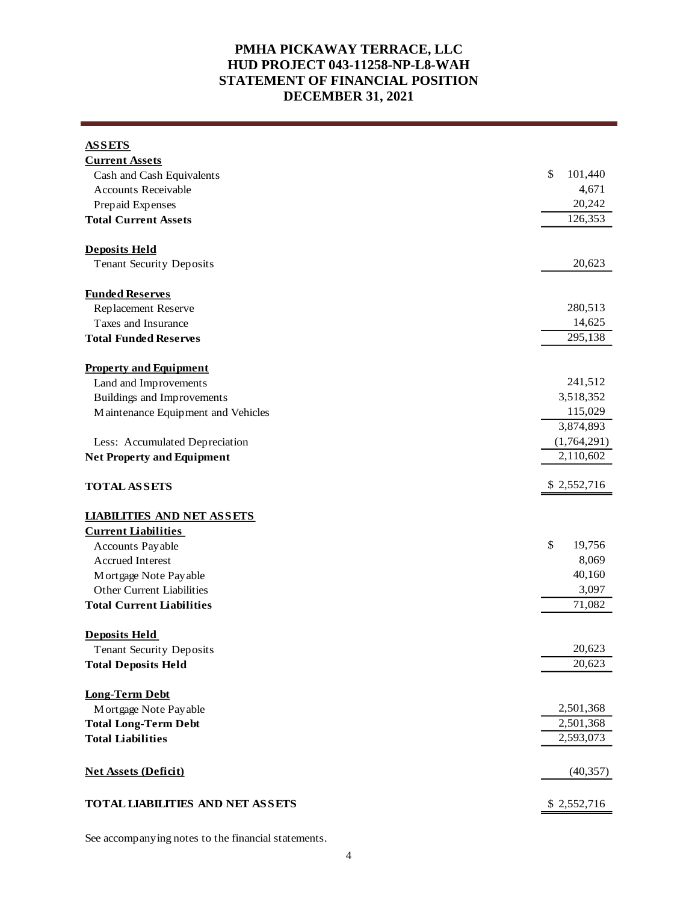### **PMHA PICKAWAY TERRACE, LLC HUD PROJECT 043-11258-NP-L8-WAH STATEMENT OF FINANCIAL POSITION DECEMBER 31, 2021**

| <b>ASSETS</b>                                                 |               |
|---------------------------------------------------------------|---------------|
| <b>Current Assets</b>                                         |               |
| Cash and Cash Equivalents                                     | \$<br>101,440 |
| Accounts Receivable                                           | 4,671         |
| Prepaid Expenses                                              | 20,242        |
| <b>Total Current Assets</b>                                   | 126,353       |
|                                                               |               |
| <b>Deposits Held</b>                                          |               |
| <b>Tenant Security Deposits</b>                               | 20,623        |
| <b>Funded Reserves</b>                                        |               |
| Replacement Reserve                                           | 280,513       |
| Taxes and Insurance                                           | 14,625        |
| <b>Total Funded Reserves</b>                                  | 295,138       |
| <b>Property and Equipment</b>                                 |               |
| Land and Improvements                                         | 241,512       |
| <b>Buildings and Improvements</b>                             | 3,518,352     |
| Maintenance Equipment and Vehicles                            | 115,029       |
|                                                               | 3,874,893     |
| Less: Accumulated Depreciation                                | (1,764,291)   |
| <b>Net Property and Equipment</b>                             | 2,110,602     |
|                                                               |               |
| <b>TOTAL ASSETS</b>                                           | \$2,552,716   |
| <b>LIABILITIES AND NET ASSETS</b>                             |               |
| <b>Current Liabilities</b>                                    |               |
| Accounts Payable                                              | \$<br>19,756  |
| <b>Accrued Interest</b>                                       | 8,069         |
| Mortgage Note Payable                                         | 40,160        |
| <b>Other Current Liabilities</b>                              | 3,097         |
| <b>Total Current Liabilities</b>                              | 71,082        |
|                                                               |               |
| <b>Deposits Held</b>                                          | 20,623        |
| <b>Tenant Security Deposits</b><br><b>Total Deposits Held</b> | 20,623        |
|                                                               |               |
| <b>Long-Term Debt</b>                                         |               |
| Mortgage Note Payable                                         | 2,501,368     |
| <b>Total Long-Term Debt</b>                                   | 2,501,368     |
| <b>Total Liabilities</b>                                      | 2,593,073     |
| <b>Net Assets (Deficit)</b>                                   | (40, 357)     |
| <b>TOTAL LIABILITIES AND NET ASSETS</b>                       | \$2,552,716   |

See accompanying notes to the financial statements.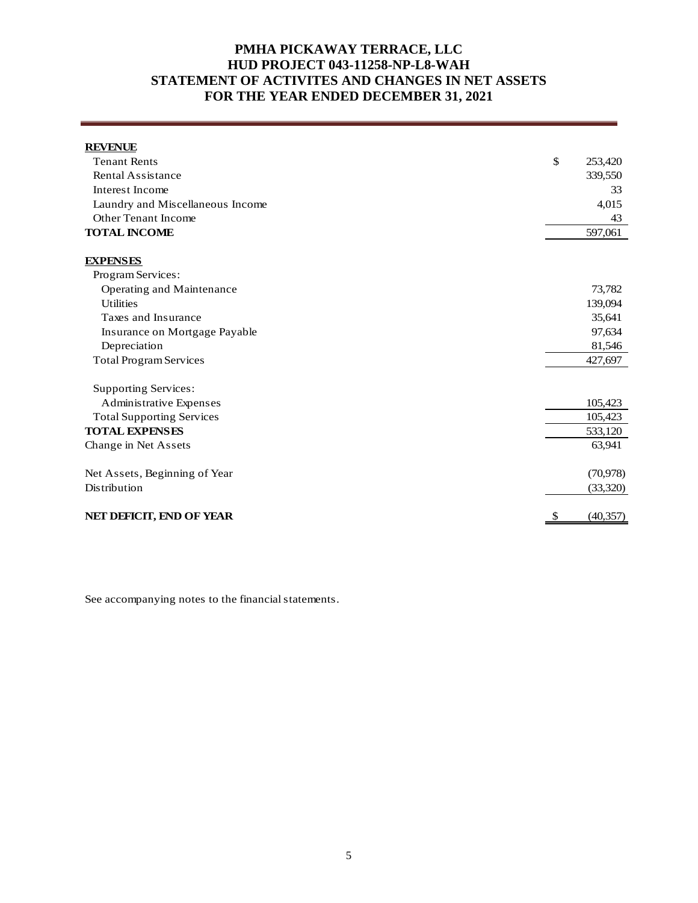### **PMHA PICKAWAY TERRACE, LLC HUD PROJECT 043-11258-NP-L8-WAH STATEMENT OF ACTIVITES AND CHANGES IN NET ASSETS FOR THE YEAR ENDED DECEMBER 31, 2021**

| <b>REVENUE</b>                   |              |           |
|----------------------------------|--------------|-----------|
| <b>Tenant Rents</b>              | $\mathbb{S}$ | 253,420   |
| <b>Rental Assistance</b>         |              | 339,550   |
| Interest Income                  |              | 33        |
| Laundry and Miscellaneous Income |              | 4,015     |
| Other Tenant Income              |              | 43        |
| <b>TOTAL INCOME</b>              |              | 597,061   |
| <b>EXPENSES</b>                  |              |           |
| Program Services:                |              |           |
| Operating and Maintenance        |              | 73,782    |
| <b>Utilities</b>                 |              | 139,094   |
| Taxes and Insurance              |              | 35,641    |
| Insurance on Mortgage Payable    |              | 97,634    |
| Depreciation                     |              | 81,546    |
| <b>Total Program Services</b>    |              | 427,697   |
| <b>Supporting Services:</b>      |              |           |
| Administrative Expenses          |              | 105,423   |
| <b>Total Supporting Services</b> |              | 105,423   |
| <b>TOTAL EXPENSES</b>            |              | 533,120   |
| Change in Net Assets             |              | 63,941    |
| Net Assets, Beginning of Year    |              | (70, 978) |
| Distribution                     |              | (33,320)  |
| NET DEFICIT, END OF YEAR         | \$           | (40, 357) |

See accompanying notes to the financial statements.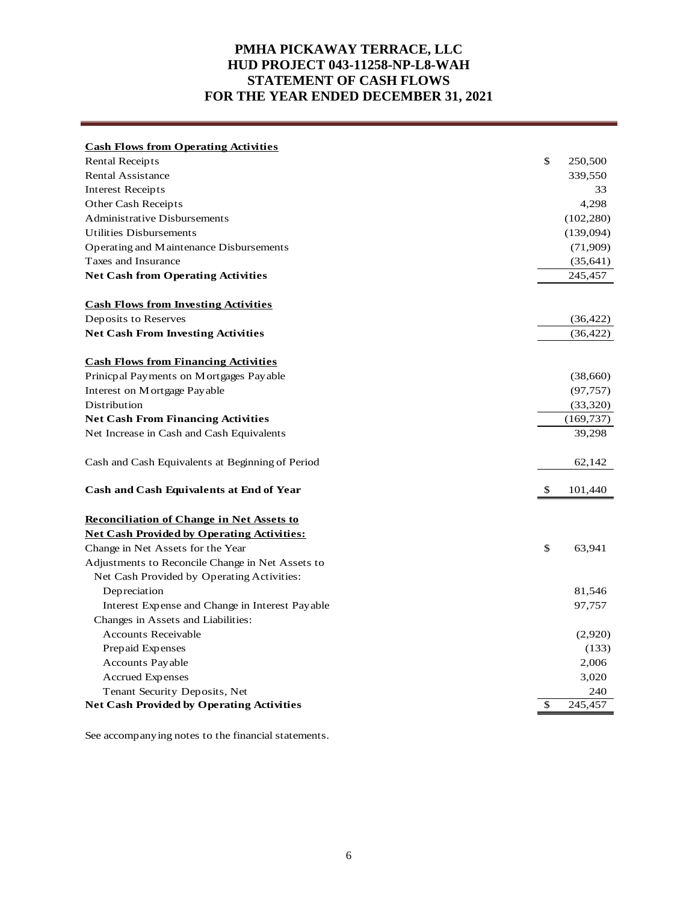### **PMHA PICKAWAY TERRACE, LLC HUD PROJECT 043-11258-NP-L8-WAH STATEMENT OF CASH FLOWS FOR THE YEAR ENDED DECEMBER 31, 2021**

| <b>Cash Flows from Operating Activities</b>              |               |
|----------------------------------------------------------|---------------|
| Rental Receipts                                          | \$<br>250,500 |
| <b>Rental Assistance</b>                                 | 339,550       |
| <b>Interest Receipts</b>                                 | 33            |
| Other Cash Receipts                                      | 4,298         |
| <b>Administrative Disbursements</b>                      | (102, 280)    |
| <b>Utilities Disbursements</b>                           | (139,094)     |
| Operating and Maintenance Disbursements                  | (71,909)      |
| Taxes and Insurance                                      | (35, 641)     |
| <b>Net Cash from Operating Activities</b>                | 245,457       |
| <b>Cash Flows from Investing Activities</b>              |               |
| Deposits to Reserves                                     | (36, 422)     |
| <b>Net Cash From Investing Activities</b>                | (36, 422)     |
| <b>Cash Flows from Financing Activities</b>              |               |
| Prinicpal Payments on Mortgages Payable                  | (38,660)      |
| Interest on Mortgage Payable                             | (97, 757)     |
| Distribution                                             | (33,320)      |
| <b>Net Cash From Financing Activities</b>                | (169, 737)    |
| Net Increase in Cash and Cash Equivalents                | 39,298        |
| Cash and Cash Equivalents at Beginning of Period         | 62,142        |
| Cash and Cash Equivalents at End of Year                 | \$<br>101,440 |
| <b>Reconciliation of Change in Net Assets to</b>         |               |
| <u><b>Net Cash Provided by Operating Activities:</b></u> |               |
| Change in Net Assets for the Year                        | \$<br>63,941  |
| Adjustments to Reconcile Change in Net Assets to         |               |
| Net Cash Provided by Operating Activities:               |               |
| Depreciation                                             | 81,546        |
| Interest Expense and Change in Interest Payable          | 97,757        |
| Changes in Assets and Liabilities:                       |               |
| <b>Accounts Receivable</b>                               | (2,920)       |
| Prepaid Expenses                                         | (133)         |
| Accounts Payable                                         | 2,006         |
| <b>Accrued Expenses</b>                                  | 3,020         |
| Tenant Security Deposits, Net                            | 240           |
| <b>Net Cash Provided by Operating Activities</b>         | \$<br>245.457 |

See accompanying notes to the financial statements.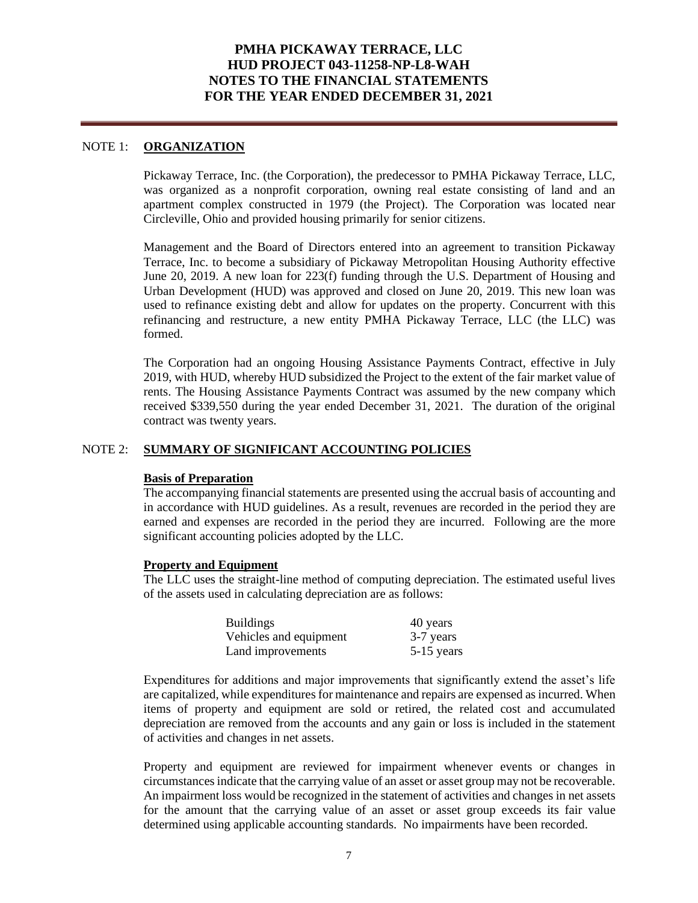### **PMHA PICKAWAY TERRACE, LLC HUD PROJECT 043-11258-NP-L8-WAH NOTES TO THE FINANCIAL STATEMENTS FOR THE YEAR ENDED DECEMBER 31, 2021**

### NOTE 1: **ORGANIZATION**

Pickaway Terrace, Inc. (the Corporation), the predecessor to PMHA Pickaway Terrace, LLC, was organized as a nonprofit corporation, owning real estate consisting of land and an apartment complex constructed in 1979 (the Project). The Corporation was located near Circleville, Ohio and provided housing primarily for senior citizens.

Management and the Board of Directors entered into an agreement to transition Pickaway Terrace, Inc. to become a subsidiary of Pickaway Metropolitan Housing Authority effective June 20, 2019. A new loan for 223(f) funding through the U.S. Department of Housing and Urban Development (HUD) was approved and closed on June 20, 2019. This new loan was used to refinance existing debt and allow for updates on the property. Concurrent with this refinancing and restructure, a new entity PMHA Pickaway Terrace, LLC (the LLC) was formed.

The Corporation had an ongoing Housing Assistance Payments Contract, effective in July 2019, with HUD, whereby HUD subsidized the Project to the extent of the fair market value of rents. The Housing Assistance Payments Contract was assumed by the new company which received \$339,550 during the year ended December 31, 2021. The duration of the original contract was twenty years.

### NOTE 2: **SUMMARY OF SIGNIFICANT ACCOUNTING POLICIES**

#### **Basis of Preparation**

The accompanying financial statements are presented using the accrual basis of accounting and in accordance with HUD guidelines. As a result, revenues are recorded in the period they are earned and expenses are recorded in the period they are incurred. Following are the more significant accounting policies adopted by the LLC.

#### **Property and Equipment**

The LLC uses the straight-line method of computing depreciation. The estimated useful lives of the assets used in calculating depreciation are as follows:

| <b>Buildings</b>       | 40 years     |
|------------------------|--------------|
| Vehicles and equipment | 3-7 years    |
| Land improvements      | $5-15$ years |

Expenditures for additions and major improvements that significantly extend the asset's life are capitalized, while expenditures for maintenance and repairs are expensed as incurred. When items of property and equipment are sold or retired, the related cost and accumulated depreciation are removed from the accounts and any gain or loss is included in the statement of activities and changes in net assets.

Property and equipment are reviewed for impairment whenever events or changes in circumstancesindicate that the carrying value of an asset or asset group may not be recoverable. An impairment loss would be recognized in the statement of activities and changes in net assets for the amount that the carrying value of an asset or asset group exceeds its fair value determined using applicable accounting standards. No impairments have been recorded.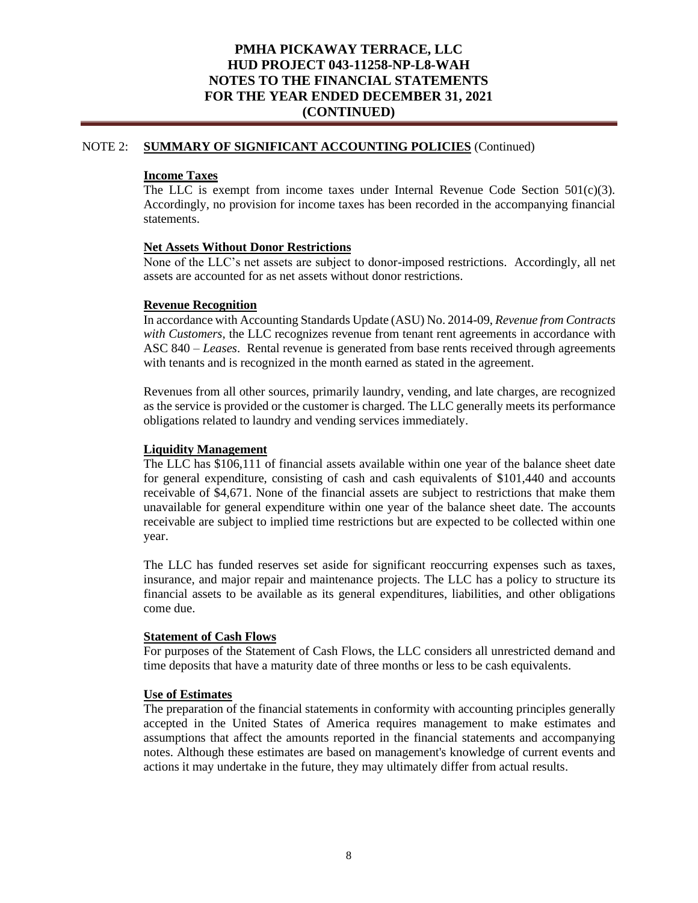### **PMHA PICKAWAY TERRACE, LLC HUD PROJECT 043-11258-NP-L8-WAH NOTES TO THE FINANCIAL STATEMENTS FOR THE YEAR ENDED DECEMBER 31, 2021 (CONTINUED)**

### NOTE 2: **SUMMARY OF SIGNIFICANT ACCOUNTING POLICIES** (Continued)

#### **Income Taxes**

The LLC is exempt from income taxes under Internal Revenue Code Section  $501(c)(3)$ . Accordingly, no provision for income taxes has been recorded in the accompanying financial statements.

### **Net Assets Without Donor Restrictions**

None of the LLC's net assets are subject to donor-imposed restrictions. Accordingly, all net assets are accounted for as net assets without donor restrictions.

#### **Revenue Recognition**

In accordance with Accounting Standards Update (ASU) No. 2014-09, *Revenue from Contracts with Customers,* the LLC recognizes revenue from tenant rent agreements in accordance with ASC 840 – *Leases*. Rental revenue is generated from base rents received through agreements with tenants and is recognized in the month earned as stated in the agreement.

Revenues from all other sources, primarily laundry, vending, and late charges, are recognized as the service is provided or the customer is charged. The LLC generally meets its performance obligations related to laundry and vending services immediately.

#### **Liquidity Management**

The LLC has \$106,111 of financial assets available within one year of the balance sheet date for general expenditure, consisting of cash and cash equivalents of \$101,440 and accounts receivable of \$4,671. None of the financial assets are subject to restrictions that make them unavailable for general expenditure within one year of the balance sheet date. The accounts receivable are subject to implied time restrictions but are expected to be collected within one year.

The LLC has funded reserves set aside for significant reoccurring expenses such as taxes, insurance, and major repair and maintenance projects. The LLC has a policy to structure its financial assets to be available as its general expenditures, liabilities, and other obligations come due.

### **Statement of Cash Flows**

For purposes of the Statement of Cash Flows, the LLC considers all unrestricted demand and time deposits that have a maturity date of three months or less to be cash equivalents.

#### **Use of Estimates**

The preparation of the financial statements in conformity with accounting principles generally accepted in the United States of America requires management to make estimates and assumptions that affect the amounts reported in the financial statements and accompanying notes. Although these estimates are based on management's knowledge of current events and actions it may undertake in the future, they may ultimately differ from actual results.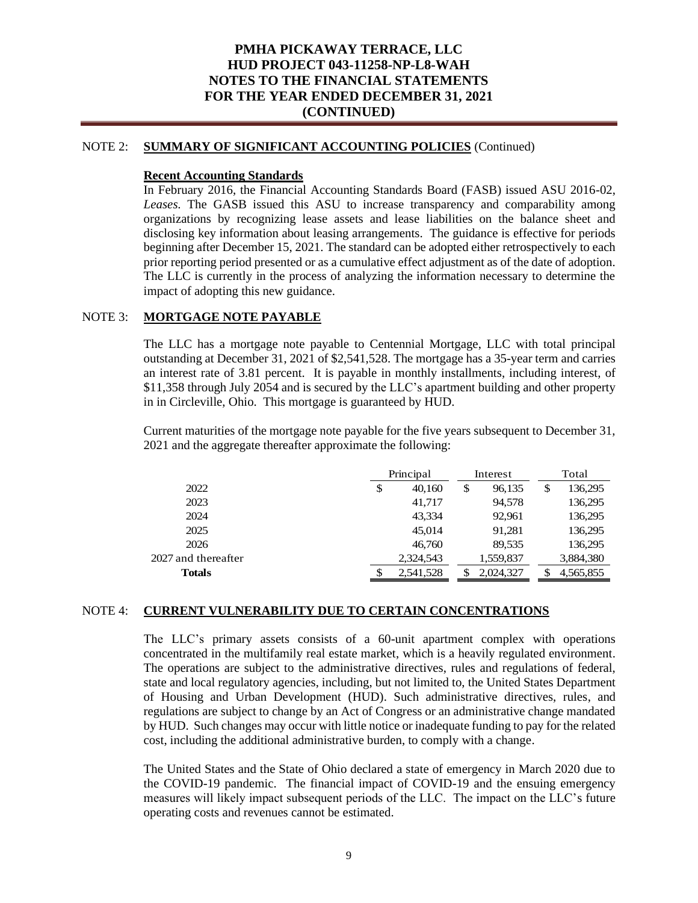### **PMHA PICKAWAY TERRACE, LLC HUD PROJECT 043-11258-NP-L8-WAH NOTES TO THE FINANCIAL STATEMENTS FOR THE YEAR ENDED DECEMBER 31, 2021 (CONTINUED)**

### NOTE 2: **SUMMARY OF SIGNIFICANT ACCOUNTING POLICIES** (Continued)

#### **Recent Accounting Standards**

In February 2016, the Financial Accounting Standards Board (FASB) issued ASU 2016-02, *Leases*. The GASB issued this ASU to increase transparency and comparability among organizations by recognizing lease assets and lease liabilities on the balance sheet and disclosing key information about leasing arrangements. The guidance is effective for periods beginning after December 15, 2021. The standard can be adopted either retrospectively to each prior reporting period presented or as a cumulative effect adjustment as of the date of adoption. The LLC is currently in the process of analyzing the information necessary to determine the impact of adopting this new guidance.

### NOTE 3: **MORTGAGE NOTE PAYABLE**

The LLC has a mortgage note payable to Centennial Mortgage, LLC with total principal outstanding at December 31, 2021 of \$2,541,528. The mortgage has a 35-year term and carries an interest rate of 3.81 percent. It is payable in monthly installments, including interest, of \$11,358 through July 2054 and is secured by the LLC's apartment building and other property in in Circleville, Ohio. This mortgage is guaranteed by HUD.

Current maturities of the mortgage note payable for the five years subsequent to December 31, 2021 and the aggregate thereafter approximate the following:

|                     | Principal    |  | Interest  |    | Total     |
|---------------------|--------------|--|-----------|----|-----------|
| 2022                | \$<br>40.160 |  | 96,135    | \$ | 136,295   |
| 2023                | 41,717       |  | 94,578    |    | 136,295   |
| 2024                | 43.334       |  | 92,961    |    | 136,295   |
| 2025                | 45,014       |  | 91,281    |    | 136,295   |
| 2026                | 46,760       |  | 89,535    |    | 136,295   |
| 2027 and thereafter | 2.324,543    |  | 1,559,837 |    | 3,884,380 |
| <b>Totals</b>       | 2.541.528    |  | 2,024,327 |    | 4,565,855 |

### NOTE 4: **CURRENT VULNERABILITY DUE TO CERTAIN CONCENTRATIONS**

The LLC's primary assets consists of a 60-unit apartment complex with operations concentrated in the multifamily real estate market, which is a heavily regulated environment. The operations are subject to the administrative directives, rules and regulations of federal, state and local regulatory agencies, including, but not limited to, the United States Department of Housing and Urban Development (HUD). Such administrative directives, rules, and regulations are subject to change by an Act of Congress or an administrative change mandated by HUD. Such changes may occur with little notice or inadequate funding to pay for the related cost, including the additional administrative burden, to comply with a change.

The United States and the State of Ohio declared a state of emergency in March 2020 due to the COVID-19 pandemic. The financial impact of COVID-19 and the ensuing emergency measures will likely impact subsequent periods of the LLC. The impact on the LLC's future operating costs and revenues cannot be estimated.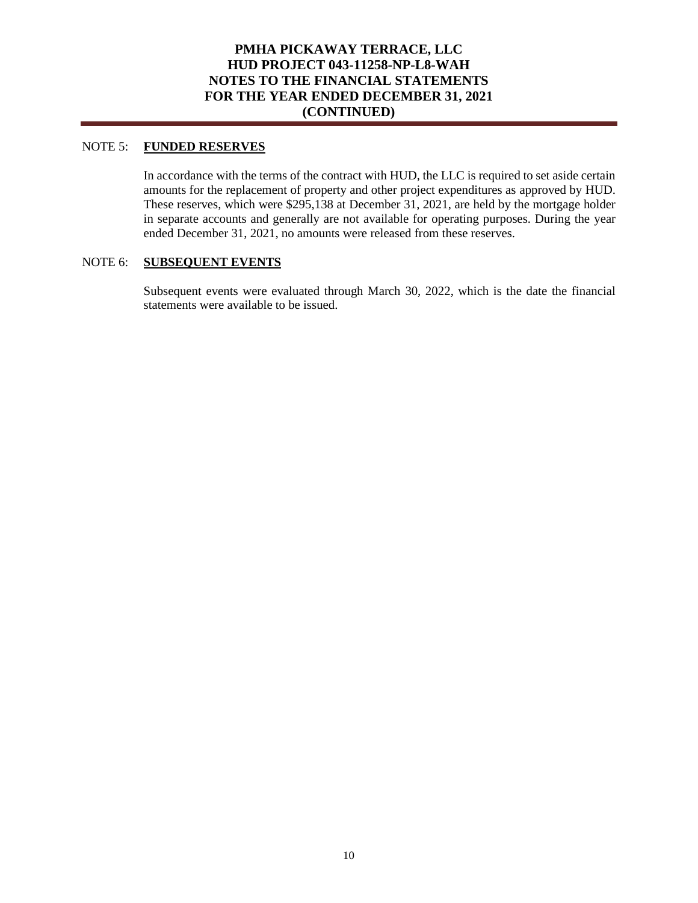### **PMHA PICKAWAY TERRACE, LLC HUD PROJECT 043-11258-NP-L8-WAH NOTES TO THE FINANCIAL STATEMENTS FOR THE YEAR ENDED DECEMBER 31, 2021 (CONTINUED)**

#### NOTE 5: **FUNDED RESERVES**

In accordance with the terms of the contract with HUD, the LLC is required to set aside certain amounts for the replacement of property and other project expenditures as approved by HUD. These reserves, which were \$295,138 at December 31, 2021, are held by the mortgage holder in separate accounts and generally are not available for operating purposes. During the year ended December 31, 2021, no amounts were released from these reserves.

#### NOTE 6: **SUBSEQUENT EVENTS**

Subsequent events were evaluated through March 30, 2022, which is the date the financial statements were available to be issued.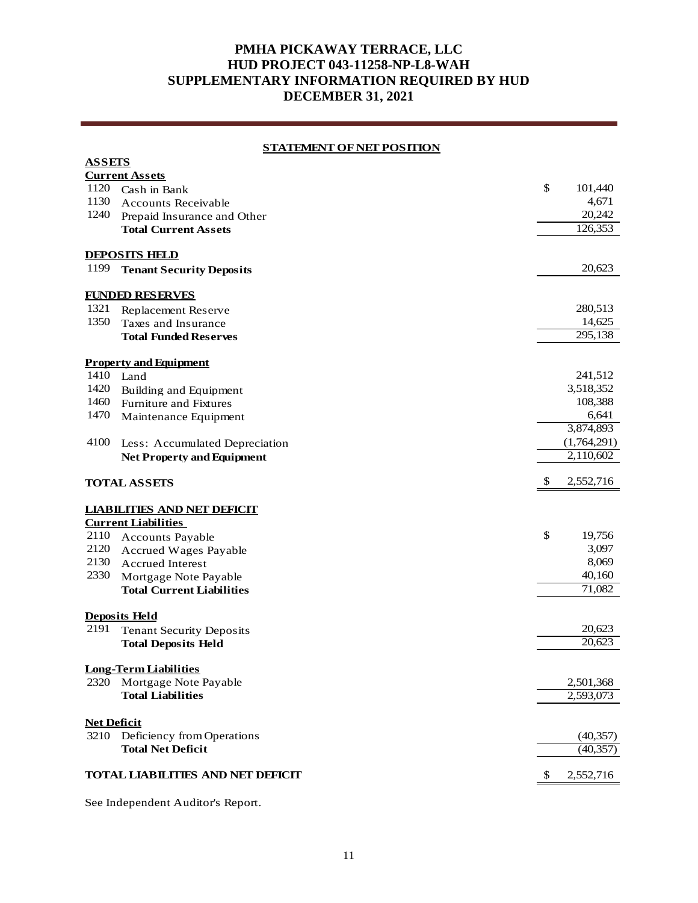### **PMHA PICKAWAY TERRACE, LLC HUD PROJECT 043-11258-NP-L8-WAH SUPPLEMENTARY INFORMATION REQUIRED BY HUD DECEMBER 31, 2021**

#### **STATEMENT OF NET POSITION**

| <b>ASSETS</b>      |                                            |                 |
|--------------------|--------------------------------------------|-----------------|
| 1120               | <b>Current Assets</b>                      | \$<br>101,440   |
| 1130               | Cash in Bank<br><b>Accounts Receivable</b> | 4,671           |
| 1240               | Prepaid Insurance and Other                | 20,242          |
|                    | <b>Total Current Assets</b>                | 126,353         |
|                    |                                            |                 |
|                    | <b>DEPOSITS HELD</b>                       |                 |
| 1199               | <b>Tenant Security Deposits</b>            | 20,623          |
|                    | <b>FUNDED RESERVES</b>                     |                 |
| 1321               | Replacement Reserve                        | 280,513         |
| 1350               | Taxes and Insurance                        | 14,625          |
|                    | <b>Total Funded Reserves</b>               | 295,138         |
|                    | <b>Property and Equipment</b>              |                 |
| 1410               | Land                                       | 241,512         |
| 1420               | Building and Equipment                     | 3,518,352       |
| 1460               | Furniture and Fixtures                     | 108,388         |
| 1470               | Maintenance Equipment                      | 6,641           |
|                    |                                            | 3,874,893       |
| 4100               | Less: Accumulated Depreciation             | (1,764,291)     |
|                    | <b>Net Property and Equipment</b>          | 2,110,602       |
|                    |                                            | \$<br>2,552,716 |
|                    | <b>TOTAL ASSETS</b>                        |                 |
|                    | <b>LIABILITIES AND NET DEFICIT</b>         |                 |
|                    | <b>Current Liabilities</b>                 |                 |
| 2110               | <b>Accounts Payable</b>                    | \$<br>19,756    |
| 2120               | <b>Accrued Wages Payable</b>               | 3,097           |
| 2130               | <b>Accrued Interest</b>                    | 8,069           |
| 2330               | Mortgage Note Payable                      | 40,160          |
|                    | <b>Total Current Liabilities</b>           | 71,082          |
|                    | <b>Deposits Held</b>                       |                 |
| 2191               | <b>Tenant Security Deposits</b>            | 20,623          |
|                    | <b>Total Deposits Held</b>                 | 20,623          |
|                    | <b>Long-Term Liabilities</b>               |                 |
| 2320               | Mortgage Note Payable                      | 2,501,368       |
|                    | <b>Total Liabilities</b>                   | 2,593,073       |
|                    |                                            |                 |
|                    |                                            |                 |
| <b>Net Deficit</b> |                                            |                 |
|                    | 3210 Deficiency from Operations            | (40, 357)       |
|                    | <b>Total Net Deficit</b>                   | (40, 357)       |

See Independent Auditor's Report.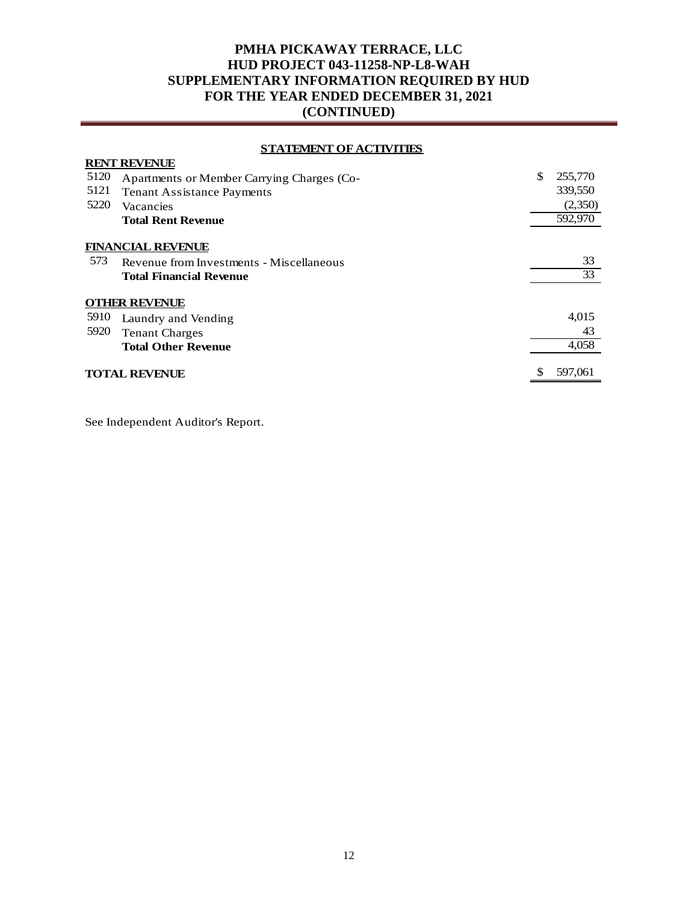# **PMHA PICKAWAY TERRACE, LLC HUD PROJECT 043-11258-NP-L8-WAH SUPPLEMENTARY INFORMATION REQUIRED BY HUD FOR THE YEAR ENDED DECEMBER 31, 2021 (CONTINUED)**

### **STATEMENT OF ACTIVITIES**

|      | <b>RENT REVENUE</b>                        |                |
|------|--------------------------------------------|----------------|
| 5120 | Apartments or Member Carrying Charges (Co- | \$.<br>255,770 |
| 5121 | <b>Tenant Assistance Payments</b>          | 339,550        |
| 5220 | Vacancies                                  | (2,350)        |
|      | <b>Total Rent Revenue</b>                  | 592,970        |
|      | <b>FINANCIAL REVENUE</b>                   |                |
| 573  | Revenue from Investments - Miscellaneous   | 33             |
|      | <b>Total Financial Revenue</b>             | 33             |
|      | <b>OTHER REVENUE</b>                       |                |
| 5910 | Laundry and Vending                        | 4,015          |
| 5920 | <b>Tenant Charges</b>                      | 43             |
|      | <b>Total Other Revenue</b>                 | 4,058          |
|      | <b>TOTAL REVENUE</b>                       | 597,061        |

See Independent Auditor's Report.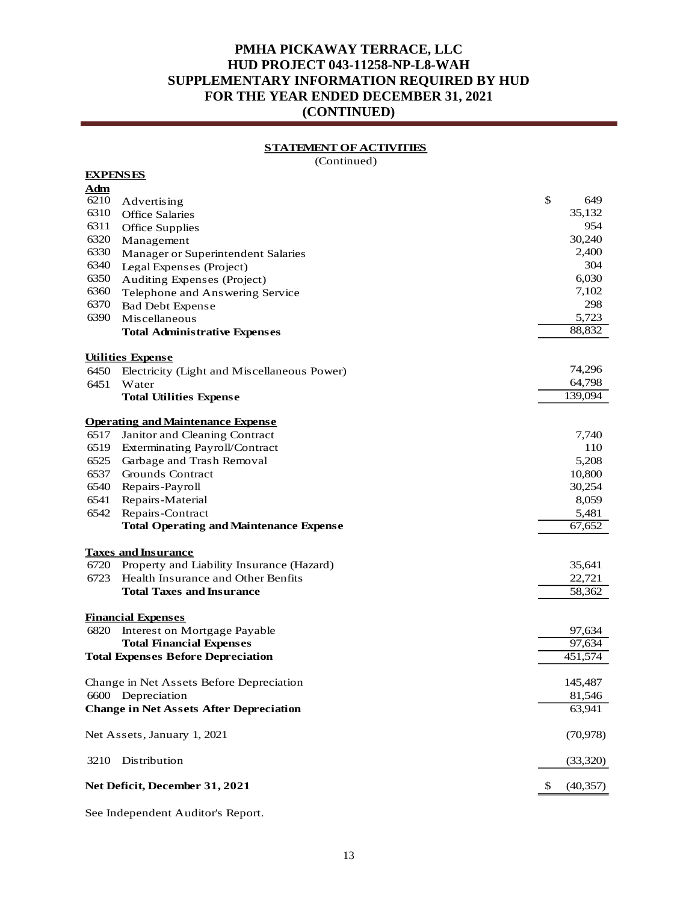### **PMHA PICKAWAY TERRACE, LLC HUD PROJECT 043-11258-NP-L8-WAH SUPPLEMENTARY INFORMATION REQUIRED BY HUD FOR THE YEAR ENDED DECEMBER 31, 2021 (CONTINUED)**

### **STATEMENT OF ACTIVITIES**

(Continued)

| <b>EXPENSES</b> |                                                  |                 |
|-----------------|--------------------------------------------------|-----------------|
| <b>Adm</b>      |                                                  |                 |
| 6210            | Advertising                                      | \$<br>649       |
| 6310            | <b>Office Salaries</b>                           | 35,132          |
| 6311            | Office Supplies                                  | 954             |
| 6320            | Management                                       | 30,240          |
| 6330            | Manager or Superintendent Salaries               | 2,400           |
| 6340            | Legal Expenses (Project)                         | 304             |
| 6350            | Auditing Expenses (Project)                      | 6,030           |
| 6360            | Telephone and Answering Service                  | 7,102           |
| 6370            | <b>Bad Debt Expense</b>                          | 298             |
| 6390            | Miscellaneous                                    | 5,723           |
|                 | <b>Total Administrative Expenses</b>             | 88,832          |
|                 | <b>Utilities Expense</b>                         |                 |
|                 | 6450 Electricity (Light and Miscellaneous Power) | 74,296          |
| 6451            | Water                                            | 64,798          |
|                 | <b>Total Utilities Expense</b>                   | 139,094         |
|                 | <b>Operating and Maintenance Expense</b>         |                 |
| 6517            | Janitor and Cleaning Contract                    | 7,740           |
| 6519            | Exterminating Payroll/Contract                   | 110             |
| 6525            | Garbage and Trash Removal                        | 5,208           |
| 6537            | Grounds Contract                                 | 10,800          |
| 6540            | Repairs-Payroll                                  | 30,254          |
| 6541            | Repairs-Material                                 | 8,059           |
| 6542            | Repairs-Contract                                 | 5,481           |
|                 | <b>Total Operating and Maintenance Expense</b>   | 67,652          |
|                 | <b>Taxes and Insurance</b>                       |                 |
|                 | 6720 Property and Liability Insurance (Hazard)   | 35,641          |
| 6723            | Health Insurance and Other Benfits               | 22,721          |
|                 | <b>Total Taxes and Insurance</b>                 | 58,362          |
|                 | <b>Financial Expenses</b>                        |                 |
| 6820            | Interest on Mortgage Payable                     | 97,634          |
|                 | <b>Total Financial Expenses</b>                  | 97,634          |
|                 | <b>Total Expenses Before Depreciation</b>        | 451,574         |
|                 |                                                  |                 |
|                 | Change in Net Assets Before Depreciation         | 145,487         |
|                 | 6600 Depreciation                                | 81,546          |
|                 | <b>Change in Net Assets After Depreciation</b>   | 63,941          |
|                 |                                                  |                 |
|                 | Net Assets, January 1, 2021                      | (70, 978)       |
| 3210            | Distribution                                     | (33,320)        |
|                 | Net Deficit, December 31, 2021                   | \$<br>(40, 357) |
|                 |                                                  |                 |

See Independent Auditor's Report.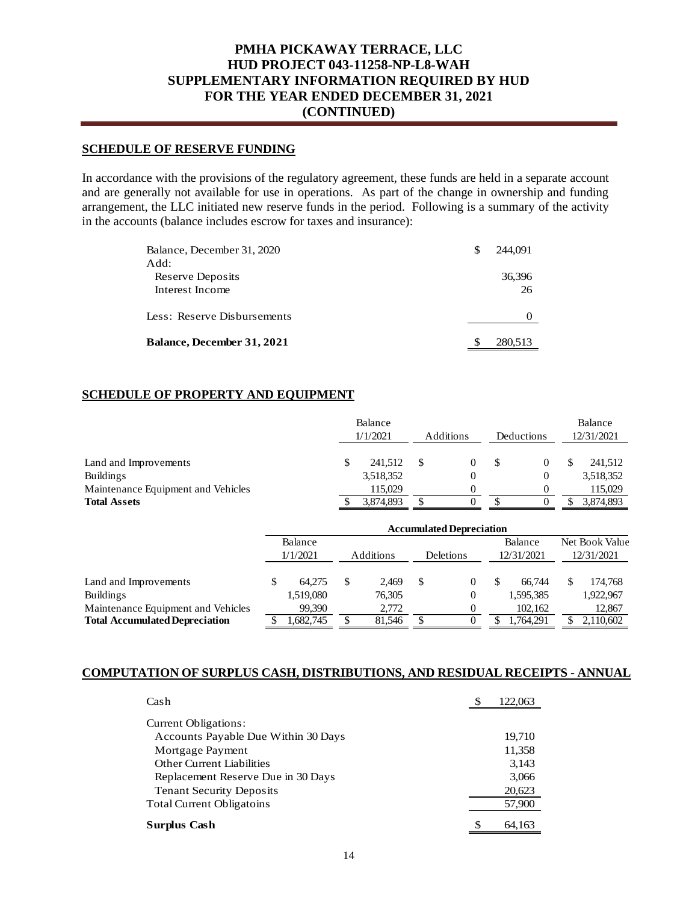### **PMHA PICKAWAY TERRACE, LLC HUD PROJECT 043-11258-NP-L8-WAH SUPPLEMENTARY INFORMATION REQUIRED BY HUD FOR THE YEAR ENDED DECEMBER 31, 2021 (CONTINUED)**

### **SCHEDULE OF RESERVE FUNDING**

In accordance with the provisions of the regulatory agreement, these funds are held in a separate account and are generally not available for use in operations. As part of the change in ownership and funding arrangement, the LLC initiated new reserve funds in the period. Following is a summary of the activity in the accounts (balance includes escrow for taxes and insurance):

| Balance, December 31, 2020                  | \$<br>244.091 |
|---------------------------------------------|---------------|
| Add:<br>Reserve Deposits<br>Interest Income | 36,396<br>26  |
| Less: Reserve Disbursements                 | $\mathbf{0}$  |
| Balance, December 31, 2021                  | 280,513       |

### **SCHEDULE OF PROPERTY AND EQUIPMENT**

|                                                                                 | Balance<br>1/1/2021             | Additions |  | Deductions |  | Balance<br>12/31/2021           |
|---------------------------------------------------------------------------------|---------------------------------|-----------|--|------------|--|---------------------------------|
| Land and Improvements<br><b>Buildings</b><br>Maintenance Equipment and Vehicles | 241,512<br>3,518,352<br>115.029 | \$.       |  |            |  | 241,512<br>3,518,352<br>115.029 |
| <b>Total Assets</b>                                                             | 3,874,893                       | \$        |  |            |  | 3.874.893                       |

|                                       | <b>Accumulated Depreciation</b> |           |    |           |    |                  |  |            |  |                |  |
|---------------------------------------|---------------------------------|-----------|----|-----------|----|------------------|--|------------|--|----------------|--|
|                                       |                                 | Balance   |    |           |    |                  |  | Balance    |  | Net Book Value |  |
|                                       |                                 | 1/1/2021  |    | Additions |    | <b>Deletions</b> |  | 12/31/2021 |  | 12/31/2021     |  |
| Land and Improvements                 |                                 | 64.275    | \$ | 2.469     | \$ |                  |  | 66,744     |  | 174,768        |  |
| <b>Buildings</b>                      |                                 | 1,519,080 |    | 76,305    |    |                  |  | 1,595,385  |  | 1,922,967      |  |
| Maintenance Equipment and Vehicles    |                                 | 99.390    |    | 2,772     |    |                  |  | 102.162    |  | 12,867         |  |
| <b>Total Accumulated Depreciation</b> |                                 | .682.745  |    | 81,546    |    |                  |  | 1.764.291  |  | 2,110,602      |  |

#### **COMPUTATION OF SURPLUS CASH, DISTRIBUTIONS, AND RESIDUAL RECEIPTS - ANNUAL**

| Cash                                | S | 122,063 |
|-------------------------------------|---|---------|
| <b>Current Obligations:</b>         |   |         |
| Accounts Payable Due Within 30 Days |   | 19,710  |
| Mortgage Payment                    |   | 11,358  |
| <b>Other Current Liabilities</b>    |   | 3,143   |
| Replacement Reserve Due in 30 Days  |   | 3,066   |
| <b>Tenant Security Deposits</b>     |   | 20,623  |
| <b>Total Current Obligatoins</b>    |   | 57,900  |
| <b>Surplus Cash</b>                 |   | 64.163  |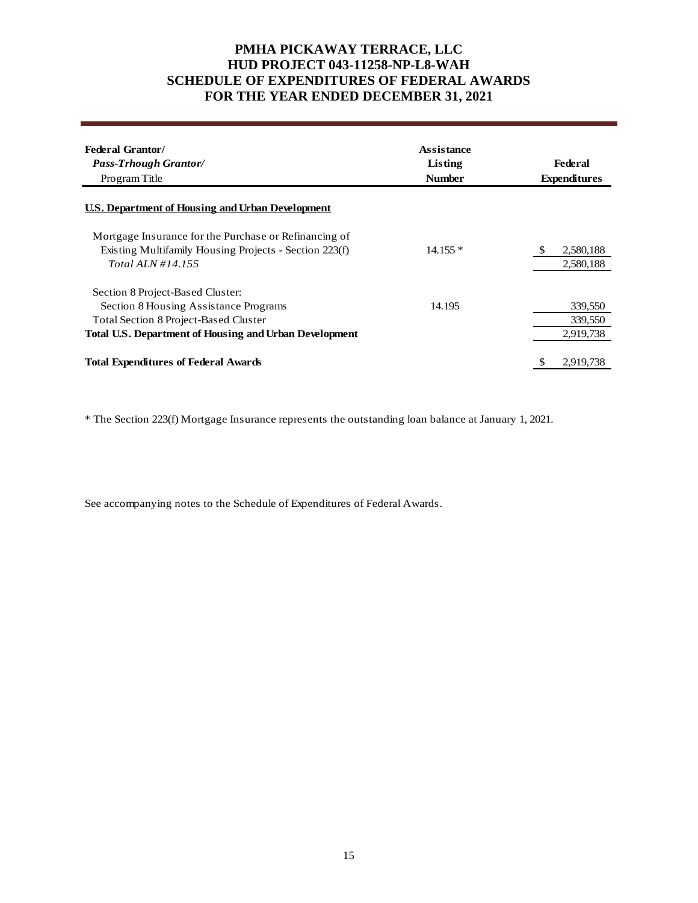### **PMHA PICKAWAY TERRACE, LLC HUD PROJECT 043-11258-NP-L8-WAH SCHEDULE OF EXPENDITURES OF FEDERAL AWARDS FOR THE YEAR ENDED DECEMBER 31, 2021**

| <b>Federal Grantor/</b><br><b>Pass-Trhough Grantor/</b><br>Program Title | <b>Assistance</b><br>Listing<br><b>Number</b> | Federal<br><b>Expenditures</b> |  |
|--------------------------------------------------------------------------|-----------------------------------------------|--------------------------------|--|
| U.S. Department of Housing and Urban Development                         |                                               |                                |  |
| Mortgage Insurance for the Purchase or Refinancing of                    |                                               |                                |  |
| Existing Multifamily Housing Projects - Section 223(f)                   | $14.155*$                                     | 2,580,188<br>-S                |  |
| Total ALN #14.155                                                        |                                               | 2,580,188                      |  |
| Section 8 Project-Based Cluster:                                         |                                               |                                |  |
| <b>Section 8 Housing Assistance Programs</b>                             | 14.195                                        | 339,550                        |  |
| <b>Total Section 8 Project-Based Cluster</b>                             |                                               | 339,550                        |  |
| <b>Total U.S. Department of Housing and Urban Development</b>            |                                               | 2,919,738                      |  |
| <b>Total Expenditures of Federal Awards</b>                              |                                               | 2,919,738                      |  |

\* The Section 223(f) Mortgage Insurance represents the outstanding loan balance at January 1, 2021.

See accompanying notes to the Schedule of Expenditures of Federal Awards.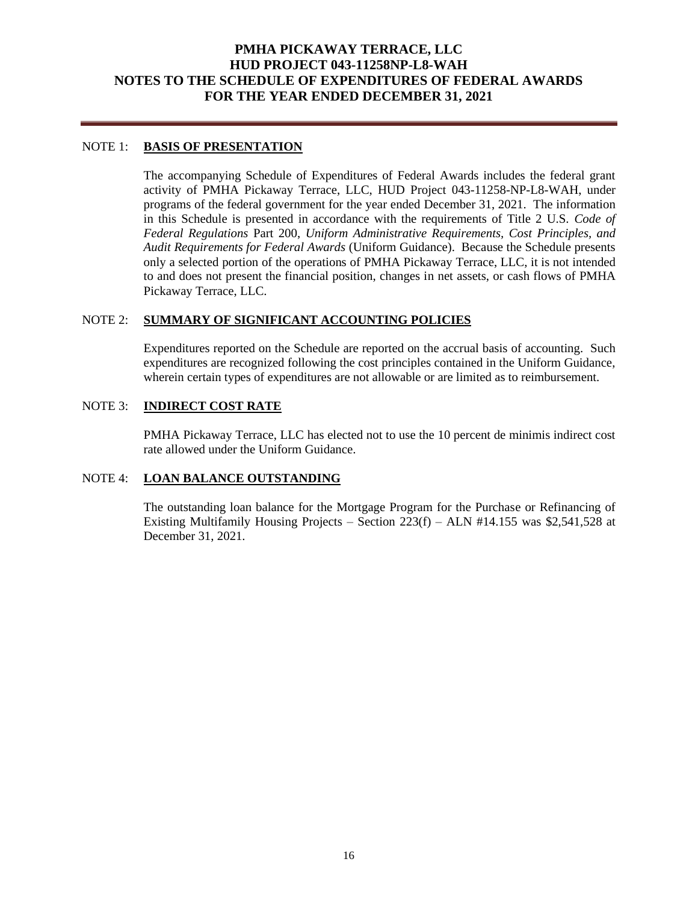### **PMHA PICKAWAY TERRACE, LLC HUD PROJECT 043-11258NP-L8-WAH NOTES TO THE SCHEDULE OF EXPENDITURES OF FEDERAL AWARDS FOR THE YEAR ENDED DECEMBER 31, 2021**

### NOTE 1: **BASIS OF PRESENTATION**

The accompanying Schedule of Expenditures of Federal Awards includes the federal grant activity of PMHA Pickaway Terrace, LLC, HUD Project 043-11258-NP-L8-WAH, under programs of the federal government for the year ended December 31, 2021. The information in this Schedule is presented in accordance with the requirements of Title 2 U.S. *Code of Federal Regulations* Part 200, *Uniform Administrative Requirements, Cost Principles, and Audit Requirements for Federal Awards* (Uniform Guidance). Because the Schedule presents only a selected portion of the operations of PMHA Pickaway Terrace, LLC, it is not intended to and does not present the financial position, changes in net assets, or cash flows of PMHA Pickaway Terrace, LLC.

### NOTE 2: **SUMMARY OF SIGNIFICANT ACCOUNTING POLICIES**

Expenditures reported on the Schedule are reported on the accrual basis of accounting. Such expenditures are recognized following the cost principles contained in the Uniform Guidance, wherein certain types of expenditures are not allowable or are limited as to reimbursement.

#### NOTE 3: **INDIRECT COST RATE**

PMHA Pickaway Terrace, LLC has elected not to use the 10 percent de minimis indirect cost rate allowed under the Uniform Guidance.

### NOTE 4: **LOAN BALANCE OUTSTANDING**

The outstanding loan balance for the Mortgage Program for the Purchase or Refinancing of Existing Multifamily Housing Projects – Section  $223(f) - ALN$  #14.155 was \$2,541,528 at December 31, 2021.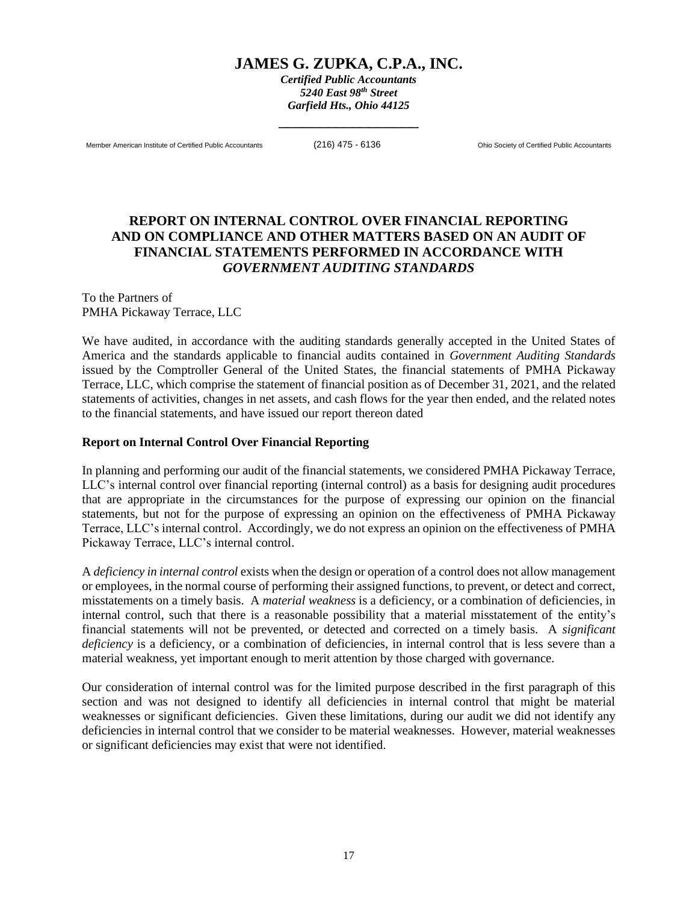# **JAMES G. ZUPKA, C.P.A., INC.**

*Certified Public Accountants 5240 East 98th Street Garfield Hts., Ohio 44125*

Member American Institute of Certified Public Accountants (216) 475 - 6136 Ohio Society of Certified Public Accountants

\_\_\_\_\_\_\_\_\_\_\_\_\_\_\_\_\_

### **REPORT ON INTERNAL CONTROL OVER FINANCIAL REPORTING AND ON COMPLIANCE AND OTHER MATTERS BASED ON AN AUDIT OF FINANCIAL STATEMENTS PERFORMED IN ACCORDANCE WITH** *GOVERNMENT AUDITING STANDARDS*

To the Partners of PMHA Pickaway Terrace, LLC

We have audited, in accordance with the auditing standards generally accepted in the United States of America and the standards applicable to financial audits contained in *Government Auditing Standards* issued by the Comptroller General of the United States, the financial statements of PMHA Pickaway Terrace, LLC, which comprise the statement of financial position as of December 31, 2021, and the related statements of activities, changes in net assets, and cash flows for the year then ended, and the related notes to the financial statements, and have issued our report thereon dated

### **Report on Internal Control Over Financial Reporting**

In planning and performing our audit of the financial statements, we considered PMHA Pickaway Terrace, LLC's internal control over financial reporting (internal control) as a basis for designing audit procedures that are appropriate in the circumstances for the purpose of expressing our opinion on the financial statements, but not for the purpose of expressing an opinion on the effectiveness of PMHA Pickaway Terrace, LLC's internal control. Accordingly, we do not express an opinion on the effectiveness of PMHA Pickaway Terrace, LLC's internal control.

A *deficiency in internal control* exists when the design or operation of a control does not allow management or employees, in the normal course of performing their assigned functions, to prevent, or detect and correct, misstatements on a timely basis. A *material weakness* is a deficiency, or a combination of deficiencies, in internal control, such that there is a reasonable possibility that a material misstatement of the entity's financial statements will not be prevented, or detected and corrected on a timely basis. A *significant deficiency* is a deficiency, or a combination of deficiencies, in internal control that is less severe than a material weakness, yet important enough to merit attention by those charged with governance.

Our consideration of internal control was for the limited purpose described in the first paragraph of this section and was not designed to identify all deficiencies in internal control that might be material weaknesses or significant deficiencies. Given these limitations, during our audit we did not identify any deficiencies in internal control that we consider to be material weaknesses. However, material weaknesses or significant deficiencies may exist that were not identified.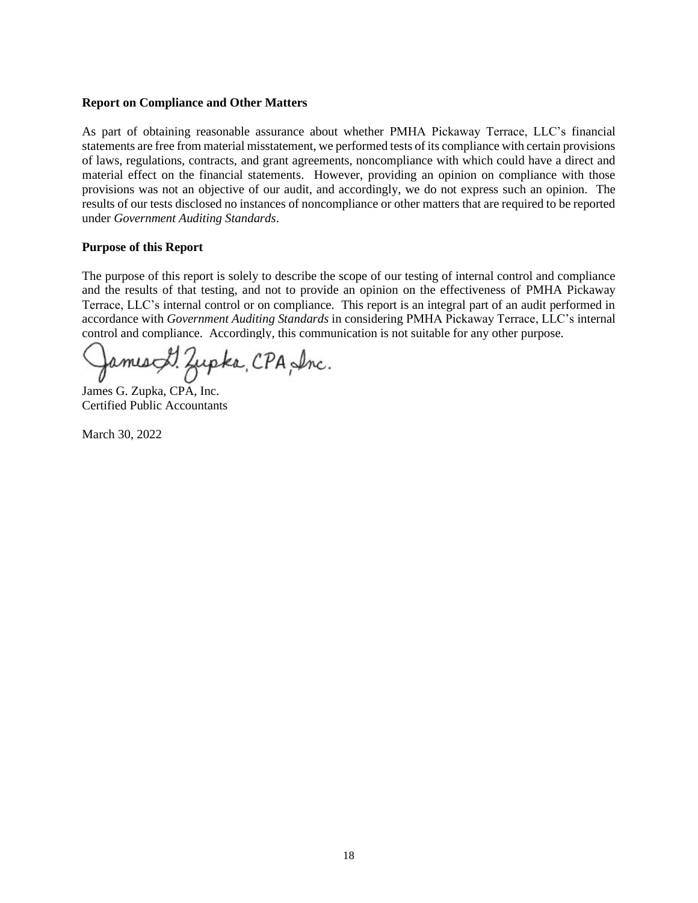#### **Report on Compliance and Other Matters**

As part of obtaining reasonable assurance about whether PMHA Pickaway Terrace, LLC's financial statements are free from material misstatement, we performed tests of its compliance with certain provisions of laws, regulations, contracts, and grant agreements, noncompliance with which could have a direct and material effect on the financial statements. However, providing an opinion on compliance with those provisions was not an objective of our audit, and accordingly, we do not express such an opinion. The results of our tests disclosed no instances of noncompliance or other matters that are required to be reported under *Government Auditing Standards*.

### **Purpose of this Report**

The purpose of this report is solely to describe the scope of our testing of internal control and compliance and the results of that testing, and not to provide an opinion on the effectiveness of PMHA Pickaway Terrace, LLC's internal control or on compliance. This report is an integral part of an audit performed in accordance with *Government Auditing Standards* in considering PMHA Pickaway Terrace, LLC's internal control and compliance. Accordingly, this communication is not suitable for any other purpose.

amescol. Zupka, CPA, Inc.

James G. Zupka, CPA, Inc. Certified Public Accountants

March 30, 2022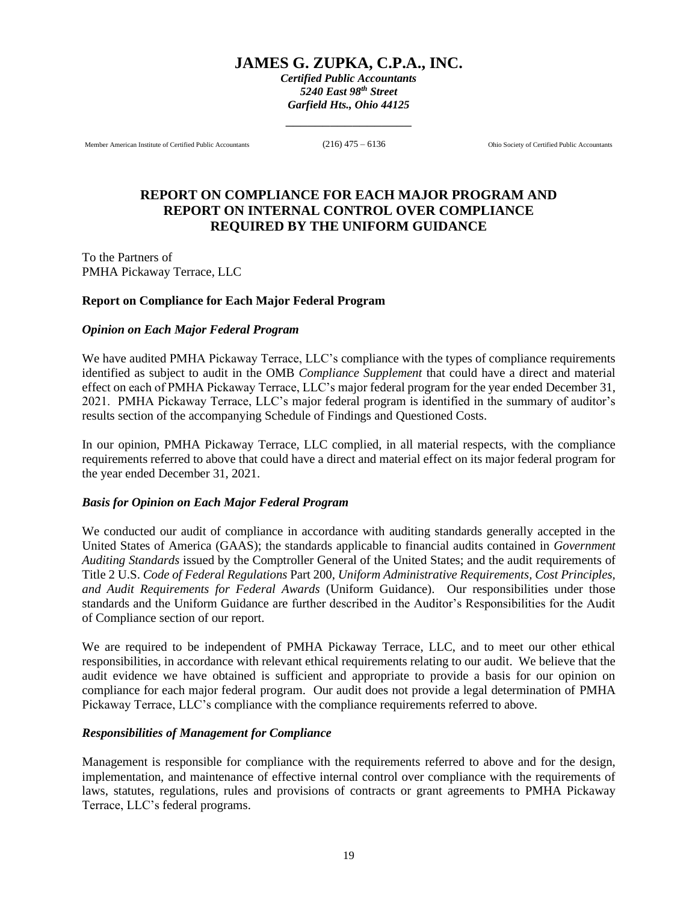### **JAMES G. ZUPKA, C.P.A., INC.**

*Certified Public Accountants 5240 East 98th Street Garfield Hts., Ohio 44125*

\_\_\_\_\_\_\_\_\_\_\_\_\_\_\_\_\_

Member American Institute of Certified Public Accountants (216) 475 – 6136 Ohio Society of Certified Public Accountants

### **REPORT ON COMPLIANCE FOR EACH MAJOR PROGRAM AND REPORT ON INTERNAL CONTROL OVER COMPLIANCE REQUIRED BY THE UNIFORM GUIDANCE**

To the Partners of PMHA Pickaway Terrace, LLC

#### **Report on Compliance for Each Major Federal Program**

#### *Opinion on Each Major Federal Program*

We have audited PMHA Pickaway Terrace, LLC's compliance with the types of compliance requirements identified as subject to audit in the OMB *Compliance Supplement* that could have a direct and material effect on each of PMHA Pickaway Terrace, LLC's major federal program for the year ended December 31, 2021. PMHA Pickaway Terrace, LLC's major federal program is identified in the summary of auditor's results section of the accompanying Schedule of Findings and Questioned Costs.

In our opinion, PMHA Pickaway Terrace, LLC complied, in all material respects, with the compliance requirements referred to above that could have a direct and material effect on its major federal program for the year ended December 31, 2021.

#### *Basis for Opinion on Each Major Federal Program*

We conducted our audit of compliance in accordance with auditing standards generally accepted in the United States of America (GAAS); the standards applicable to financial audits contained in *Government Auditing Standards* issued by the Comptroller General of the United States; and the audit requirements of Title 2 U.S. *Code of Federal Regulations* Part 200, *Uniform Administrative Requirements, Cost Principles, and Audit Requirements for Federal Awards* (Uniform Guidance). Our responsibilities under those standards and the Uniform Guidance are further described in the Auditor's Responsibilities for the Audit of Compliance section of our report.

We are required to be independent of PMHA Pickaway Terrace, LLC, and to meet our other ethical responsibilities, in accordance with relevant ethical requirements relating to our audit. We believe that the audit evidence we have obtained is sufficient and appropriate to provide a basis for our opinion on compliance for each major federal program. Our audit does not provide a legal determination of PMHA Pickaway Terrace, LLC's compliance with the compliance requirements referred to above.

### *Responsibilities of Management for Compliance*

Management is responsible for compliance with the requirements referred to above and for the design, implementation, and maintenance of effective internal control over compliance with the requirements of laws, statutes, regulations, rules and provisions of contracts or grant agreements to PMHA Pickaway Terrace, LLC's federal programs.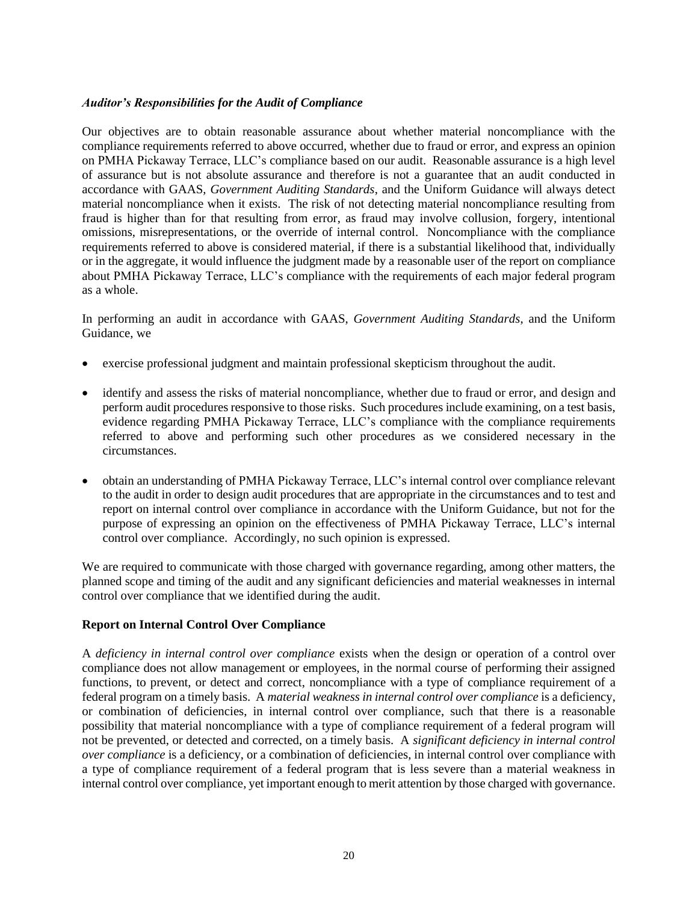### *Auditor's Responsibilities for the Audit of Compliance*

Our objectives are to obtain reasonable assurance about whether material noncompliance with the compliance requirements referred to above occurred, whether due to fraud or error, and express an opinion on PMHA Pickaway Terrace, LLC's compliance based on our audit. Reasonable assurance is a high level of assurance but is not absolute assurance and therefore is not a guarantee that an audit conducted in accordance with GAAS, *Government Auditing Standards*, and the Uniform Guidance will always detect material noncompliance when it exists. The risk of not detecting material noncompliance resulting from fraud is higher than for that resulting from error, as fraud may involve collusion, forgery, intentional omissions, misrepresentations, or the override of internal control. Noncompliance with the compliance requirements referred to above is considered material, if there is a substantial likelihood that, individually or in the aggregate, it would influence the judgment made by a reasonable user of the report on compliance about PMHA Pickaway Terrace, LLC's compliance with the requirements of each major federal program as a whole.

In performing an audit in accordance with GAAS, *Government Auditing Standards*, and the Uniform Guidance, we

- exercise professional judgment and maintain professional skepticism throughout the audit.
- identify and assess the risks of material noncompliance, whether due to fraud or error, and design and perform audit procedures responsive to those risks. Such procedures include examining, on a test basis, evidence regarding PMHA Pickaway Terrace, LLC's compliance with the compliance requirements referred to above and performing such other procedures as we considered necessary in the circumstances.
- obtain an understanding of PMHA Pickaway Terrace, LLC's internal control over compliance relevant to the audit in order to design audit procedures that are appropriate in the circumstances and to test and report on internal control over compliance in accordance with the Uniform Guidance, but not for the purpose of expressing an opinion on the effectiveness of PMHA Pickaway Terrace, LLC's internal control over compliance. Accordingly, no such opinion is expressed.

We are required to communicate with those charged with governance regarding, among other matters, the planned scope and timing of the audit and any significant deficiencies and material weaknesses in internal control over compliance that we identified during the audit.

### **Report on Internal Control Over Compliance**

A *deficiency in internal control over compliance* exists when the design or operation of a control over compliance does not allow management or employees, in the normal course of performing their assigned functions, to prevent, or detect and correct, noncompliance with a type of compliance requirement of a federal program on a timely basis. A *material weakness in internal control over compliance* is a deficiency, or combination of deficiencies, in internal control over compliance, such that there is a reasonable possibility that material noncompliance with a type of compliance requirement of a federal program will not be prevented, or detected and corrected, on a timely basis. A *significant deficiency in internal control over compliance* is a deficiency, or a combination of deficiencies, in internal control over compliance with a type of compliance requirement of a federal program that is less severe than a material weakness in internal control over compliance, yet important enough to merit attention by those charged with governance.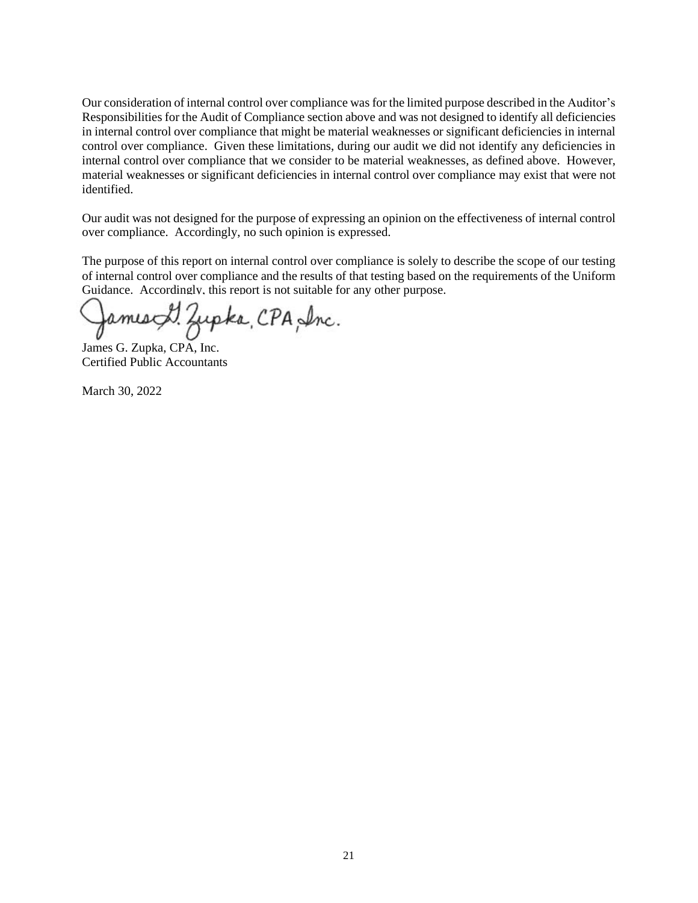Our consideration of internal control over compliance was for the limited purpose described in the Auditor's Responsibilities for the Audit of Compliance section above and was not designed to identify all deficiencies in internal control over compliance that might be material weaknesses or significant deficiencies in internal control over compliance. Given these limitations, during our audit we did not identify any deficiencies in internal control over compliance that we consider to be material weaknesses, as defined above. However, material weaknesses or significant deficiencies in internal control over compliance may exist that were not identified.

Our audit was not designed for the purpose of expressing an opinion on the effectiveness of internal control over compliance. Accordingly, no such opinion is expressed.

The purpose of this report on internal control over compliance is solely to describe the scope of our testing of internal control over compliance and the results of that testing based on the requirements of the Uniform Guidance. Accordingly, this report is not suitable for any other purpose.

Zupka, CPA, Inc.

James G. Zupka, CPA, Inc. Certified Public Accountants

March 30, 2022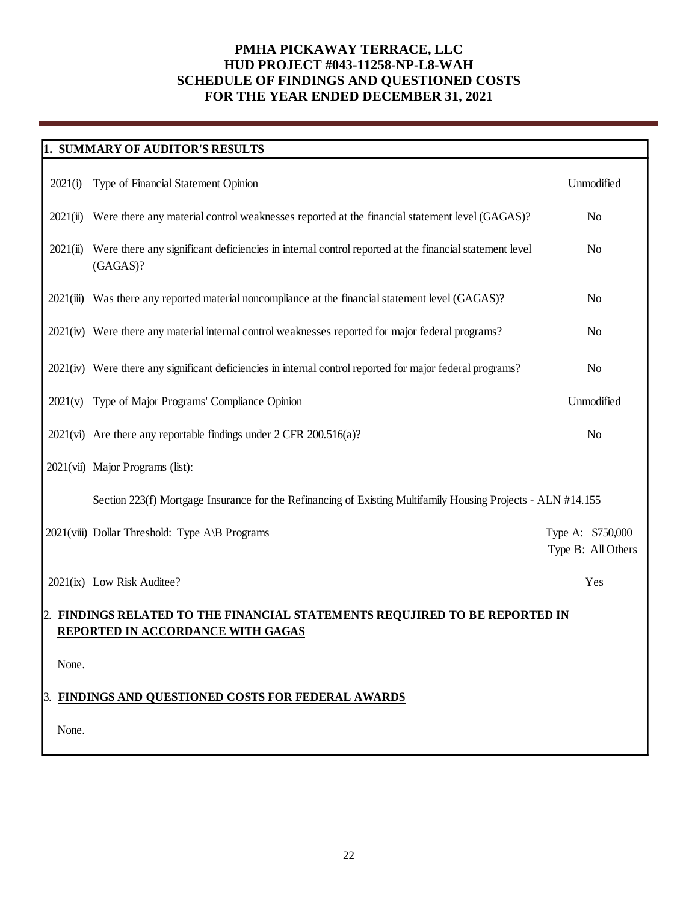### **PMHA PICKAWAY TERRACE, LLC HUD PROJECT #043-11258-NP-L8-WAH SCHEDULE OF FINDINGS AND QUESTIONED COSTS FOR THE YEAR ENDED DECEMBER 31, 2021**

|                                                                                                               | 1. SUMMARY OF AUDITOR'S RESULTS                                                                                   |                                         |  |  |
|---------------------------------------------------------------------------------------------------------------|-------------------------------------------------------------------------------------------------------------------|-----------------------------------------|--|--|
| 2021(i)                                                                                                       | Type of Financial Statement Opinion                                                                               | Unmodified                              |  |  |
|                                                                                                               | 2021(ii) Were there any material control weaknesses reported at the financial statement level (GAGAS)?            | N <sub>0</sub>                          |  |  |
| 2021(ii)                                                                                                      | Were there any significant deficiencies in internal control reported at the financial statement level<br>(GAGAS)? | N <sub>0</sub>                          |  |  |
|                                                                                                               | 2021(iii) Was there any reported material noncompliance at the financial statement level (GAGAS)?                 | N <sub>0</sub>                          |  |  |
|                                                                                                               | 2021(iv) Were there any material internal control weaknesses reported for major federal programs?                 | N <sub>0</sub>                          |  |  |
|                                                                                                               | 2021(iv) Were there any significant deficiencies in internal control reported for major federal programs?         | N <sub>o</sub>                          |  |  |
|                                                                                                               | 2021(v) Type of Major Programs' Compliance Opinion                                                                | Unmodified                              |  |  |
|                                                                                                               | $2021$ (vi) Are there any reportable findings under $2$ CFR $200.516(a)$ ?                                        | N <sub>0</sub>                          |  |  |
|                                                                                                               | 2021(vii) Major Programs (list):                                                                                  |                                         |  |  |
|                                                                                                               | Section 223(f) Mortgage Insurance for the Refinancing of Existing Multifamily Housing Projects - ALN #14.155      |                                         |  |  |
|                                                                                                               | 2021(viii) Dollar Threshold: Type A\B Programs                                                                    | Type A: \$750,000<br>Type B: All Others |  |  |
|                                                                                                               | 2021(ix) Low Risk Auditee?                                                                                        | Yes                                     |  |  |
| FINDINGS RELATED TO THE FINANCIAL STATEMENTS REQUJIRED TO BE REPORTED IN<br>REPORTED IN ACCORDANCE WITH GAGAS |                                                                                                                   |                                         |  |  |
| None.                                                                                                         |                                                                                                                   |                                         |  |  |
| 3. FINDINGS AND QUESTIONED COSTS FOR FEDERAL AWARDS                                                           |                                                                                                                   |                                         |  |  |
| None.                                                                                                         |                                                                                                                   |                                         |  |  |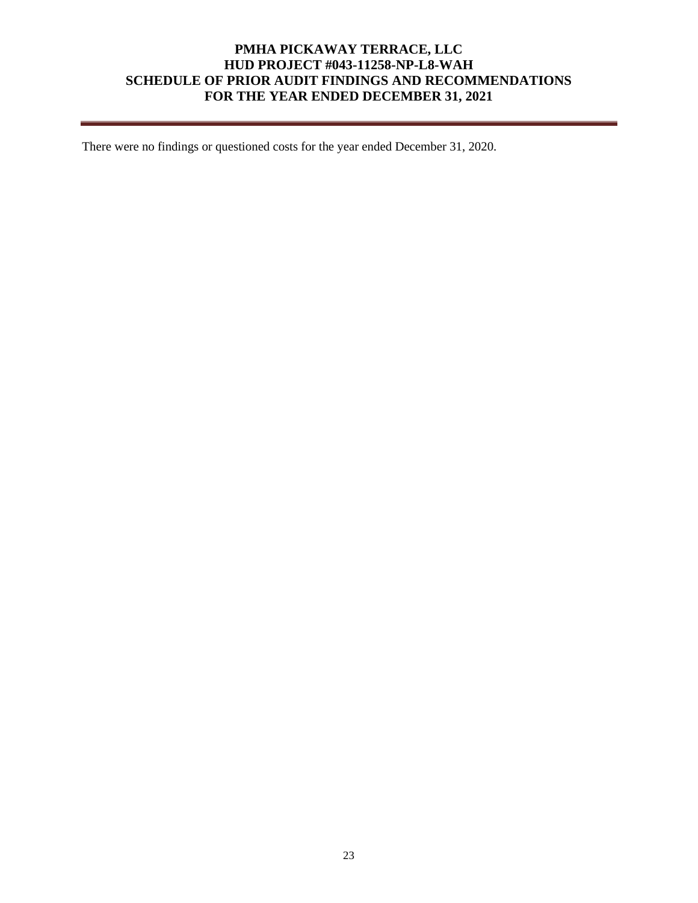### **PMHA PICKAWAY TERRACE, LLC HUD PROJECT #043-11258-NP-L8-WAH SCHEDULE OF PRIOR AUDIT FINDINGS AND RECOMMENDATIONS FOR THE YEAR ENDED DECEMBER 31, 2021**

There were no findings or questioned costs for the year ended December 31, 2020.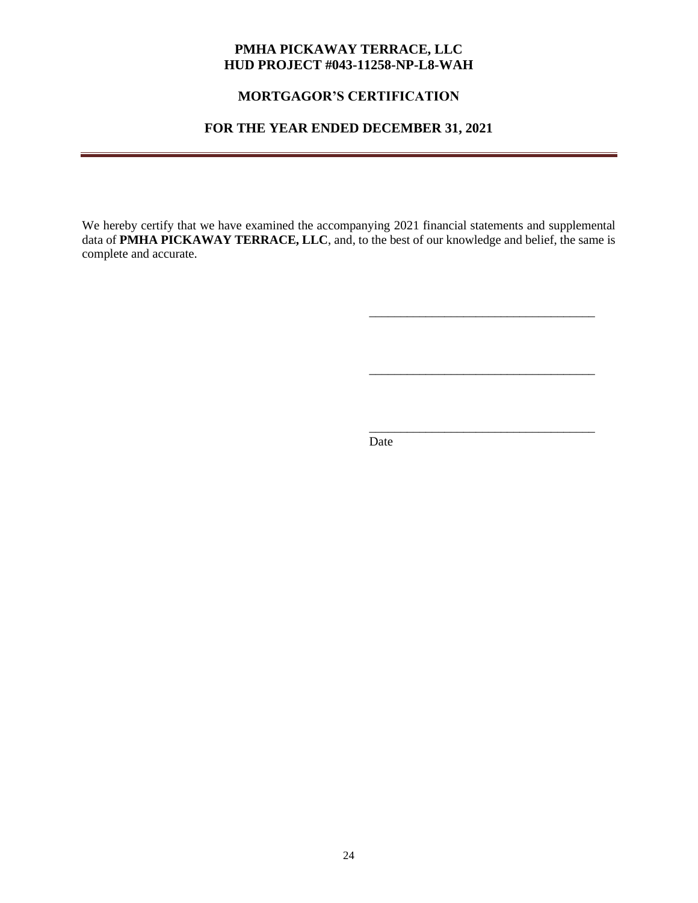### **PMHA PICKAWAY TERRACE, LLC HUD PROJECT #043-11258-NP-L8-WAH**

### **MORTGAGOR'S CERTIFICATION**

# **FOR THE YEAR ENDED DECEMBER 31, 2021**

We hereby certify that we have examined the accompanying 2021 financial statements and supplemental data of **PMHA PICKAWAY TERRACE, LLC**, and, to the best of our knowledge and belief, the same is complete and accurate.

Date

\_\_\_\_\_\_\_\_\_\_\_\_\_\_\_\_\_\_\_\_\_\_\_\_\_\_\_\_\_\_\_\_\_\_\_\_

\_\_\_\_\_\_\_\_\_\_\_\_\_\_\_\_\_\_\_\_\_\_\_\_\_\_\_\_\_\_\_\_\_\_\_\_

\_\_\_\_\_\_\_\_\_\_\_\_\_\_\_\_\_\_\_\_\_\_\_\_\_\_\_\_\_\_\_\_\_\_\_\_